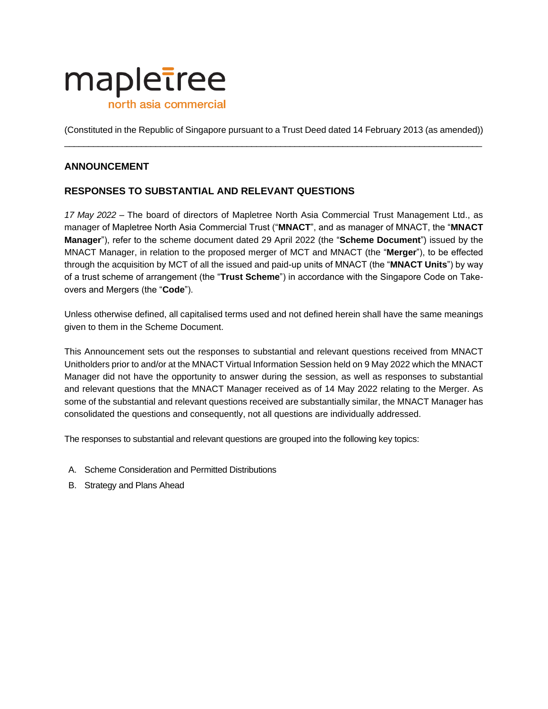

(Constituted in the Republic of Singapore pursuant to a Trust Deed dated 14 February 2013 (as amended)) \_\_\_\_\_\_\_\_\_\_\_\_\_\_\_\_\_\_\_\_\_\_\_\_\_\_\_\_\_\_\_\_\_\_\_\_\_\_\_\_\_\_\_\_\_\_\_\_\_\_\_\_\_\_\_\_\_\_\_\_\_\_\_\_\_\_\_\_\_\_\_\_\_\_\_\_\_\_\_\_\_\_\_\_\_\_\_

# **ANNOUNCEMENT**

# **RESPONSES TO SUBSTANTIAL AND RELEVANT QUESTIONS**

*17 May 2022* – The board of directors of Mapletree North Asia Commercial Trust Management Ltd., as manager of Mapletree North Asia Commercial Trust ("**MNACT**", and as manager of MNACT, the "**MNACT Manager**"), refer to the scheme document dated 29 April 2022 (the "**Scheme Document**") issued by the MNACT Manager, in relation to the proposed merger of MCT and MNACT (the "**Merger**"), to be effected through the acquisition by MCT of all the issued and paid-up units of MNACT (the "**MNACT Units**") by way of a trust scheme of arrangement (the "**Trust Scheme**") in accordance with the Singapore Code on Takeovers and Mergers (the "**Code**").

Unless otherwise defined, all capitalised terms used and not defined herein shall have the same meanings given to them in the Scheme Document.

This Announcement sets out the responses to substantial and relevant questions received from MNACT Unitholders prior to and/or at the MNACT Virtual Information Session held on 9 May 2022 which the MNACT Manager did not have the opportunity to answer during the session, as well as responses to substantial and relevant questions that the MNACT Manager received as of 14 May 2022 relating to the Merger. As some of the substantial and relevant questions received are substantially similar, the MNACT Manager has consolidated the questions and consequently, not all questions are individually addressed.

The responses to substantial and relevant questions are grouped into the following key topics:

- A. Scheme Consideration and Permitted Distributions
- B. Strategy and Plans Ahead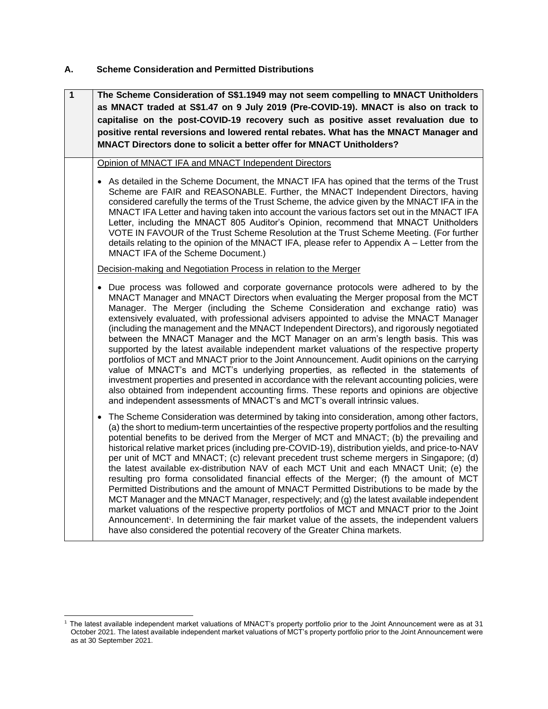## **A. Scheme Consideration and Permitted Distributions**

| 1 | The Scheme Consideration of S\$1.1949 may not seem compelling to MNACT Unitholders<br>as MNACT traded at S\$1.47 on 9 July 2019 (Pre-COVID-19). MNACT is also on track to<br>capitalise on the post-COVID-19 recovery such as positive asset revaluation due to<br>positive rental reversions and lowered rental rebates. What has the MNACT Manager and<br><b>MNACT Directors done to solicit a better offer for MNACT Unitholders?</b>                                                                                                                                                                                                                                                                                                                                                                                                                                                                                                                                                                                                                                                                                                                             |
|---|----------------------------------------------------------------------------------------------------------------------------------------------------------------------------------------------------------------------------------------------------------------------------------------------------------------------------------------------------------------------------------------------------------------------------------------------------------------------------------------------------------------------------------------------------------------------------------------------------------------------------------------------------------------------------------------------------------------------------------------------------------------------------------------------------------------------------------------------------------------------------------------------------------------------------------------------------------------------------------------------------------------------------------------------------------------------------------------------------------------------------------------------------------------------|
|   | Opinion of MNACT IFA and MNACT Independent Directors                                                                                                                                                                                                                                                                                                                                                                                                                                                                                                                                                                                                                                                                                                                                                                                                                                                                                                                                                                                                                                                                                                                 |
|   | • As detailed in the Scheme Document, the MNACT IFA has opined that the terms of the Trust<br>Scheme are FAIR and REASONABLE. Further, the MNACT Independent Directors, having<br>considered carefully the terms of the Trust Scheme, the advice given by the MNACT IFA in the<br>MNACT IFA Letter and having taken into account the various factors set out in the MNACT IFA<br>Letter, including the MNACT 805 Auditor's Opinion, recommend that MNACT Unitholders<br>VOTE IN FAVOUR of the Trust Scheme Resolution at the Trust Scheme Meeting. (For further<br>details relating to the opinion of the MNACT IFA, please refer to Appendix A – Letter from the<br>MNACT IFA of the Scheme Document.)                                                                                                                                                                                                                                                                                                                                                                                                                                                              |
|   | Decision-making and Negotiation Process in relation to the Merger                                                                                                                                                                                                                                                                                                                                                                                                                                                                                                                                                                                                                                                                                                                                                                                                                                                                                                                                                                                                                                                                                                    |
|   | • Due process was followed and corporate governance protocols were adhered to by the<br>MNACT Manager and MNACT Directors when evaluating the Merger proposal from the MCT<br>Manager. The Merger (including the Scheme Consideration and exchange ratio) was<br>extensively evaluated, with professional advisers appointed to advise the MNACT Manager<br>(including the management and the MNACT Independent Directors), and rigorously negotiated<br>between the MNACT Manager and the MCT Manager on an arm's length basis. This was<br>supported by the latest available independent market valuations of the respective property<br>portfolios of MCT and MNACT prior to the Joint Announcement. Audit opinions on the carrying<br>value of MNACT's and MCT's underlying properties, as reflected in the statements of<br>investment properties and presented in accordance with the relevant accounting policies, were<br>also obtained from independent accounting firms. These reports and opinions are objective<br>and independent assessments of MNACT's and MCT's overall intrinsic values.                                                            |
|   | The Scheme Consideration was determined by taking into consideration, among other factors,<br>(a) the short to medium-term uncertainties of the respective property portfolios and the resulting<br>potential benefits to be derived from the Merger of MCT and MNACT; (b) the prevailing and<br>historical relative market prices (including pre-COVID-19), distribution yields, and price-to-NAV<br>per unit of MCT and MNACT; (c) relevant precedent trust scheme mergers in Singapore; (d)<br>the latest available ex-distribution NAV of each MCT Unit and each MNACT Unit; (e) the<br>resulting pro forma consolidated financial effects of the Merger; (f) the amount of MCT<br>Permitted Distributions and the amount of MNACT Permitted Distributions to be made by the<br>MCT Manager and the MNACT Manager, respectively; and (g) the latest available independent<br>market valuations of the respective property portfolios of MCT and MNACT prior to the Joint<br>Announcement <sup>1</sup> . In determining the fair market value of the assets, the independent valuers<br>have also considered the potential recovery of the Greater China markets. |

l  $^1$  The latest available independent market valuations of MNACT's property portfolio prior to the Joint Announcement were as at 31 October 2021. The latest available independent market valuations of MCT's property portfolio prior to the Joint Announcement were as at 30 September 2021.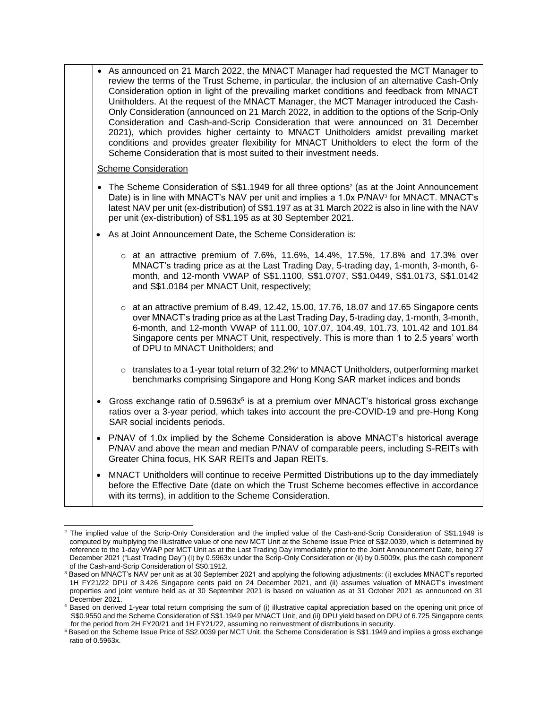• As announced on 21 March 2022, the MNACT Manager had requested the MCT Manager to review the terms of the Trust Scheme, in particular, the inclusion of an alternative Cash-Only Consideration option in light of the prevailing market conditions and feedback from MNACT Unitholders. At the request of the MNACT Manager, the MCT Manager introduced the Cash-Only Consideration (announced on 21 March 2022, in addition to the options of the Scrip-Only Consideration and Cash-and-Scrip Consideration that were announced on 31 December 2021), which provides higher certainty to MNACT Unitholders amidst prevailing market conditions and provides greater flexibility for MNACT Unitholders to elect the form of the Scheme Consideration that is most suited to their investment needs.

Scheme Consideration

- The Scheme Consideration of S\$1.1949 for all three options<sup>2</sup> (as at the Joint Announcement Date) is in line with MNACT's NAV per unit and implies a 1.0x P/NAV<sup>3</sup> for MNACT. MNACT's latest NAV per unit (ex-distribution) of S\$1.197 as at 31 March 2022 is also in line with the NAV per unit (ex-distribution) of S\$1.195 as at 30 September 2021.
- As at Joint Announcement Date, the Scheme Consideration is:
	- o at an attractive premium of 7.6%, 11.6%, 14.4%, 17.5%, 17.8% and 17.3% over MNACT's trading price as at the Last Trading Day, 5-trading day, 1-month, 3-month, 6 month, and 12-month VWAP of S\$1.1100, S\$1.0707, S\$1.0449, S\$1.0173, S\$1.0142 and S\$1.0184 per MNACT Unit, respectively;
	- $\circ$  at an attractive premium of 8.49, 12.42, 15.00, 17.76, 18.07 and 17.65 Singapore cents over MNACT's trading price as at the Last Trading Day, 5-trading day, 1-month, 3-month, 6-month, and 12-month VWAP of 111.00, 107.07, 104.49, 101.73, 101.42 and 101.84 Singapore cents per MNACT Unit, respectively. This is more than 1 to 2.5 years' worth of DPU to MNACT Unitholders; and
	- $\circ$  translates to a 1-year total return of 32.2%<sup>4</sup> to MNACT Unitholders, outperforming market benchmarks comprising Singapore and Hong Kong SAR market indices and bonds
- Gross exchange ratio of  $0.5963x<sup>5</sup>$  is at a premium over MNACT's historical gross exchange ratios over a 3-year period, which takes into account the pre-COVID-19 and pre-Hong Kong SAR social incidents periods.
- P/NAV of 1.0x implied by the Scheme Consideration is above MNACT's historical average P/NAV and above the mean and median P/NAV of comparable peers, including S-REITs with Greater China focus, HK SAR REITs and Japan REITs.
- MNACT Unitholders will continue to receive Permitted Distributions up to the day immediately before the Effective Date (date on which the Trust Scheme becomes effective in accordance with its terms), in addition to the Scheme Consideration.

l <sup>2</sup> The implied value of the Scrip-Only Consideration and the implied value of the Cash-and-Scrip Consideration of S\$1.1949 is computed by multiplying the illustrative value of one new MCT Unit at the Scheme Issue Price of S\$2.0039, which is determined by reference to the 1-day VWAP per MCT Unit as at the Last Trading Day immediately prior to the Joint Announcement Date, being 27 December 2021 ("Last Trading Day") (i) by 0.5963x under the Scrip-Only Consideration or (ii) by 0.5009x, plus the cash component of the Cash-and-Scrip Consideration of S\$0.1912.

<sup>&</sup>lt;sup>3</sup> Based on MNACT's NAV per unit as at 30 September 2021 and applying the following adjustments: (i) excludes MNACT's reported 1H FY21/22 DPU of 3.426 Singapore cents paid on 24 December 2021, and (ii) assumes valuation of MNACT's investment properties and joint venture held as at 30 September 2021 is based on valuation as at 31 October 2021 as announced on 31 December 2021.

<sup>4</sup> Based on derived 1-year total return comprising the sum of (i) illustrative capital appreciation based on the opening unit price of S\$0.9550 and the Scheme Consideration of S\$1.1949 per MNACT Unit, and (ii) DPU yield based on DPU of 6.725 Singapore cents for the period from 2H FY20/21 and 1H FY21/22, assuming no reinvestment of distributions in security.

<sup>5</sup> Based on the Scheme Issue Price of S\$2.0039 per MCT Unit, the Scheme Consideration is S\$1.1949 and implies a gross exchange ratio of 0.5963x.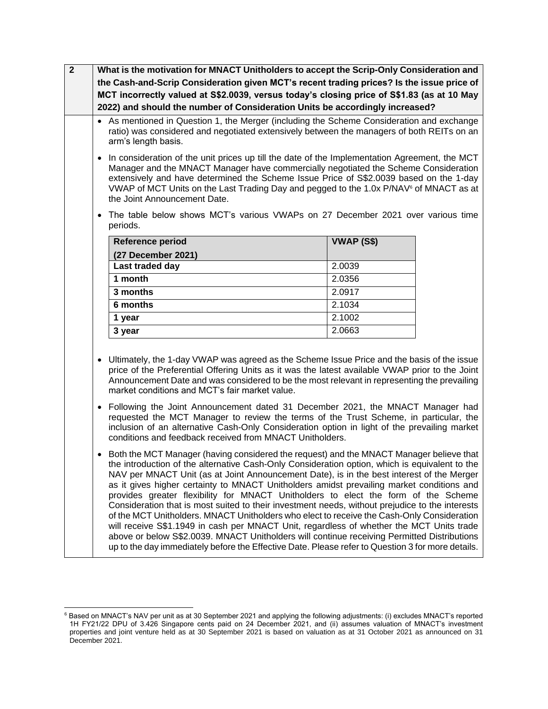| 2022) and should the number of Consideration Units be accordingly increased? |                                                                                    |                                                                                                                                                                                                                                                                                                                                                                                                                                                                                                                                                                                                                                                                                                                                                                                                                                                                                                                                                                                                                                                                                                                                                                                                                                                                                                                                                                                                                                                                                                                                                                                                                                                                                                                                                                                                                                                                                                                                                                                                                                                                                                                                                                                                                                                                                                                                                                                                                                                                                                                                                                                          |  |  |  |
|------------------------------------------------------------------------------|------------------------------------------------------------------------------------|------------------------------------------------------------------------------------------------------------------------------------------------------------------------------------------------------------------------------------------------------------------------------------------------------------------------------------------------------------------------------------------------------------------------------------------------------------------------------------------------------------------------------------------------------------------------------------------------------------------------------------------------------------------------------------------------------------------------------------------------------------------------------------------------------------------------------------------------------------------------------------------------------------------------------------------------------------------------------------------------------------------------------------------------------------------------------------------------------------------------------------------------------------------------------------------------------------------------------------------------------------------------------------------------------------------------------------------------------------------------------------------------------------------------------------------------------------------------------------------------------------------------------------------------------------------------------------------------------------------------------------------------------------------------------------------------------------------------------------------------------------------------------------------------------------------------------------------------------------------------------------------------------------------------------------------------------------------------------------------------------------------------------------------------------------------------------------------------------------------------------------------------------------------------------------------------------------------------------------------------------------------------------------------------------------------------------------------------------------------------------------------------------------------------------------------------------------------------------------------------------------------------------------------------------------------------------------------|--|--|--|
|                                                                              |                                                                                    |                                                                                                                                                                                                                                                                                                                                                                                                                                                                                                                                                                                                                                                                                                                                                                                                                                                                                                                                                                                                                                                                                                                                                                                                                                                                                                                                                                                                                                                                                                                                                                                                                                                                                                                                                                                                                                                                                                                                                                                                                                                                                                                                                                                                                                                                                                                                                                                                                                                                                                                                                                                          |  |  |  |
|                                                                              |                                                                                    |                                                                                                                                                                                                                                                                                                                                                                                                                                                                                                                                                                                                                                                                                                                                                                                                                                                                                                                                                                                                                                                                                                                                                                                                                                                                                                                                                                                                                                                                                                                                                                                                                                                                                                                                                                                                                                                                                                                                                                                                                                                                                                                                                                                                                                                                                                                                                                                                                                                                                                                                                                                          |  |  |  |
|                                                                              |                                                                                    |                                                                                                                                                                                                                                                                                                                                                                                                                                                                                                                                                                                                                                                                                                                                                                                                                                                                                                                                                                                                                                                                                                                                                                                                                                                                                                                                                                                                                                                                                                                                                                                                                                                                                                                                                                                                                                                                                                                                                                                                                                                                                                                                                                                                                                                                                                                                                                                                                                                                                                                                                                                          |  |  |  |
|                                                                              |                                                                                    |                                                                                                                                                                                                                                                                                                                                                                                                                                                                                                                                                                                                                                                                                                                                                                                                                                                                                                                                                                                                                                                                                                                                                                                                                                                                                                                                                                                                                                                                                                                                                                                                                                                                                                                                                                                                                                                                                                                                                                                                                                                                                                                                                                                                                                                                                                                                                                                                                                                                                                                                                                                          |  |  |  |
|                                                                              |                                                                                    |                                                                                                                                                                                                                                                                                                                                                                                                                                                                                                                                                                                                                                                                                                                                                                                                                                                                                                                                                                                                                                                                                                                                                                                                                                                                                                                                                                                                                                                                                                                                                                                                                                                                                                                                                                                                                                                                                                                                                                                                                                                                                                                                                                                                                                                                                                                                                                                                                                                                                                                                                                                          |  |  |  |
|                                                                              |                                                                                    |                                                                                                                                                                                                                                                                                                                                                                                                                                                                                                                                                                                                                                                                                                                                                                                                                                                                                                                                                                                                                                                                                                                                                                                                                                                                                                                                                                                                                                                                                                                                                                                                                                                                                                                                                                                                                                                                                                                                                                                                                                                                                                                                                                                                                                                                                                                                                                                                                                                                                                                                                                                          |  |  |  |
| the Joint Announcement Date.                                                 |                                                                                    |                                                                                                                                                                                                                                                                                                                                                                                                                                                                                                                                                                                                                                                                                                                                                                                                                                                                                                                                                                                                                                                                                                                                                                                                                                                                                                                                                                                                                                                                                                                                                                                                                                                                                                                                                                                                                                                                                                                                                                                                                                                                                                                                                                                                                                                                                                                                                                                                                                                                                                                                                                                          |  |  |  |
|                                                                              |                                                                                    |                                                                                                                                                                                                                                                                                                                                                                                                                                                                                                                                                                                                                                                                                                                                                                                                                                                                                                                                                                                                                                                                                                                                                                                                                                                                                                                                                                                                                                                                                                                                                                                                                                                                                                                                                                                                                                                                                                                                                                                                                                                                                                                                                                                                                                                                                                                                                                                                                                                                                                                                                                                          |  |  |  |
| periods.                                                                     |                                                                                    |                                                                                                                                                                                                                                                                                                                                                                                                                                                                                                                                                                                                                                                                                                                                                                                                                                                                                                                                                                                                                                                                                                                                                                                                                                                                                                                                                                                                                                                                                                                                                                                                                                                                                                                                                                                                                                                                                                                                                                                                                                                                                                                                                                                                                                                                                                                                                                                                                                                                                                                                                                                          |  |  |  |
| <b>Reference period</b>                                                      | <b>VWAP (S\$)</b>                                                                  |                                                                                                                                                                                                                                                                                                                                                                                                                                                                                                                                                                                                                                                                                                                                                                                                                                                                                                                                                                                                                                                                                                                                                                                                                                                                                                                                                                                                                                                                                                                                                                                                                                                                                                                                                                                                                                                                                                                                                                                                                                                                                                                                                                                                                                                                                                                                                                                                                                                                                                                                                                                          |  |  |  |
| (27 December 2021)                                                           |                                                                                    |                                                                                                                                                                                                                                                                                                                                                                                                                                                                                                                                                                                                                                                                                                                                                                                                                                                                                                                                                                                                                                                                                                                                                                                                                                                                                                                                                                                                                                                                                                                                                                                                                                                                                                                                                                                                                                                                                                                                                                                                                                                                                                                                                                                                                                                                                                                                                                                                                                                                                                                                                                                          |  |  |  |
| Last traded day                                                              | 2.0039                                                                             |                                                                                                                                                                                                                                                                                                                                                                                                                                                                                                                                                                                                                                                                                                                                                                                                                                                                                                                                                                                                                                                                                                                                                                                                                                                                                                                                                                                                                                                                                                                                                                                                                                                                                                                                                                                                                                                                                                                                                                                                                                                                                                                                                                                                                                                                                                                                                                                                                                                                                                                                                                                          |  |  |  |
| 1 month                                                                      | 2.0356                                                                             |                                                                                                                                                                                                                                                                                                                                                                                                                                                                                                                                                                                                                                                                                                                                                                                                                                                                                                                                                                                                                                                                                                                                                                                                                                                                                                                                                                                                                                                                                                                                                                                                                                                                                                                                                                                                                                                                                                                                                                                                                                                                                                                                                                                                                                                                                                                                                                                                                                                                                                                                                                                          |  |  |  |
| 3 months                                                                     | 2.0917                                                                             |                                                                                                                                                                                                                                                                                                                                                                                                                                                                                                                                                                                                                                                                                                                                                                                                                                                                                                                                                                                                                                                                                                                                                                                                                                                                                                                                                                                                                                                                                                                                                                                                                                                                                                                                                                                                                                                                                                                                                                                                                                                                                                                                                                                                                                                                                                                                                                                                                                                                                                                                                                                          |  |  |  |
| 6 months                                                                     | 2.1034                                                                             |                                                                                                                                                                                                                                                                                                                                                                                                                                                                                                                                                                                                                                                                                                                                                                                                                                                                                                                                                                                                                                                                                                                                                                                                                                                                                                                                                                                                                                                                                                                                                                                                                                                                                                                                                                                                                                                                                                                                                                                                                                                                                                                                                                                                                                                                                                                                                                                                                                                                                                                                                                                          |  |  |  |
| 1 year                                                                       | 2.1002                                                                             |                                                                                                                                                                                                                                                                                                                                                                                                                                                                                                                                                                                                                                                                                                                                                                                                                                                                                                                                                                                                                                                                                                                                                                                                                                                                                                                                                                                                                                                                                                                                                                                                                                                                                                                                                                                                                                                                                                                                                                                                                                                                                                                                                                                                                                                                                                                                                                                                                                                                                                                                                                                          |  |  |  |
| 3 year                                                                       |                                                                                    |                                                                                                                                                                                                                                                                                                                                                                                                                                                                                                                                                                                                                                                                                                                                                                                                                                                                                                                                                                                                                                                                                                                                                                                                                                                                                                                                                                                                                                                                                                                                                                                                                                                                                                                                                                                                                                                                                                                                                                                                                                                                                                                                                                                                                                                                                                                                                                                                                                                                                                                                                                                          |  |  |  |
|                                                                              |                                                                                    |                                                                                                                                                                                                                                                                                                                                                                                                                                                                                                                                                                                                                                                                                                                                                                                                                                                                                                                                                                                                                                                                                                                                                                                                                                                                                                                                                                                                                                                                                                                                                                                                                                                                                                                                                                                                                                                                                                                                                                                                                                                                                                                                                                                                                                                                                                                                                                                                                                                                                                                                                                                          |  |  |  |
| $\bullet$                                                                    |                                                                                    |                                                                                                                                                                                                                                                                                                                                                                                                                                                                                                                                                                                                                                                                                                                                                                                                                                                                                                                                                                                                                                                                                                                                                                                                                                                                                                                                                                                                                                                                                                                                                                                                                                                                                                                                                                                                                                                                                                                                                                                                                                                                                                                                                                                                                                                                                                                                                                                                                                                                                                                                                                                          |  |  |  |
|                                                                              |                                                                                    |                                                                                                                                                                                                                                                                                                                                                                                                                                                                                                                                                                                                                                                                                                                                                                                                                                                                                                                                                                                                                                                                                                                                                                                                                                                                                                                                                                                                                                                                                                                                                                                                                                                                                                                                                                                                                                                                                                                                                                                                                                                                                                                                                                                                                                                                                                                                                                                                                                                                                                                                                                                          |  |  |  |
|                                                                              |                                                                                    |                                                                                                                                                                                                                                                                                                                                                                                                                                                                                                                                                                                                                                                                                                                                                                                                                                                                                                                                                                                                                                                                                                                                                                                                                                                                                                                                                                                                                                                                                                                                                                                                                                                                                                                                                                                                                                                                                                                                                                                                                                                                                                                                                                                                                                                                                                                                                                                                                                                                                                                                                                                          |  |  |  |
|                                                                              |                                                                                    |                                                                                                                                                                                                                                                                                                                                                                                                                                                                                                                                                                                                                                                                                                                                                                                                                                                                                                                                                                                                                                                                                                                                                                                                                                                                                                                                                                                                                                                                                                                                                                                                                                                                                                                                                                                                                                                                                                                                                                                                                                                                                                                                                                                                                                                                                                                                                                                                                                                                                                                                                                                          |  |  |  |
|                                                                              |                                                                                    |                                                                                                                                                                                                                                                                                                                                                                                                                                                                                                                                                                                                                                                                                                                                                                                                                                                                                                                                                                                                                                                                                                                                                                                                                                                                                                                                                                                                                                                                                                                                                                                                                                                                                                                                                                                                                                                                                                                                                                                                                                                                                                                                                                                                                                                                                                                                                                                                                                                                                                                                                                                          |  |  |  |
|                                                                              |                                                                                    |                                                                                                                                                                                                                                                                                                                                                                                                                                                                                                                                                                                                                                                                                                                                                                                                                                                                                                                                                                                                                                                                                                                                                                                                                                                                                                                                                                                                                                                                                                                                                                                                                                                                                                                                                                                                                                                                                                                                                                                                                                                                                                                                                                                                                                                                                                                                                                                                                                                                                                                                                                                          |  |  |  |
|                                                                              |                                                                                    |                                                                                                                                                                                                                                                                                                                                                                                                                                                                                                                                                                                                                                                                                                                                                                                                                                                                                                                                                                                                                                                                                                                                                                                                                                                                                                                                                                                                                                                                                                                                                                                                                                                                                                                                                                                                                                                                                                                                                                                                                                                                                                                                                                                                                                                                                                                                                                                                                                                                                                                                                                                          |  |  |  |
|                                                                              |                                                                                    |                                                                                                                                                                                                                                                                                                                                                                                                                                                                                                                                                                                                                                                                                                                                                                                                                                                                                                                                                                                                                                                                                                                                                                                                                                                                                                                                                                                                                                                                                                                                                                                                                                                                                                                                                                                                                                                                                                                                                                                                                                                                                                                                                                                                                                                                                                                                                                                                                                                                                                                                                                                          |  |  |  |
|                                                                              |                                                                                    |                                                                                                                                                                                                                                                                                                                                                                                                                                                                                                                                                                                                                                                                                                                                                                                                                                                                                                                                                                                                                                                                                                                                                                                                                                                                                                                                                                                                                                                                                                                                                                                                                                                                                                                                                                                                                                                                                                                                                                                                                                                                                                                                                                                                                                                                                                                                                                                                                                                                                                                                                                                          |  |  |  |
|                                                                              |                                                                                    |                                                                                                                                                                                                                                                                                                                                                                                                                                                                                                                                                                                                                                                                                                                                                                                                                                                                                                                                                                                                                                                                                                                                                                                                                                                                                                                                                                                                                                                                                                                                                                                                                                                                                                                                                                                                                                                                                                                                                                                                                                                                                                                                                                                                                                                                                                                                                                                                                                                                                                                                                                                          |  |  |  |
|                                                                              |                                                                                    |                                                                                                                                                                                                                                                                                                                                                                                                                                                                                                                                                                                                                                                                                                                                                                                                                                                                                                                                                                                                                                                                                                                                                                                                                                                                                                                                                                                                                                                                                                                                                                                                                                                                                                                                                                                                                                                                                                                                                                                                                                                                                                                                                                                                                                                                                                                                                                                                                                                                                                                                                                                          |  |  |  |
|                                                                              |                                                                                    |                                                                                                                                                                                                                                                                                                                                                                                                                                                                                                                                                                                                                                                                                                                                                                                                                                                                                                                                                                                                                                                                                                                                                                                                                                                                                                                                                                                                                                                                                                                                                                                                                                                                                                                                                                                                                                                                                                                                                                                                                                                                                                                                                                                                                                                                                                                                                                                                                                                                                                                                                                                          |  |  |  |
|                                                                              |                                                                                    |                                                                                                                                                                                                                                                                                                                                                                                                                                                                                                                                                                                                                                                                                                                                                                                                                                                                                                                                                                                                                                                                                                                                                                                                                                                                                                                                                                                                                                                                                                                                                                                                                                                                                                                                                                                                                                                                                                                                                                                                                                                                                                                                                                                                                                                                                                                                                                                                                                                                                                                                                                                          |  |  |  |
|                                                                              |                                                                                    |                                                                                                                                                                                                                                                                                                                                                                                                                                                                                                                                                                                                                                                                                                                                                                                                                                                                                                                                                                                                                                                                                                                                                                                                                                                                                                                                                                                                                                                                                                                                                                                                                                                                                                                                                                                                                                                                                                                                                                                                                                                                                                                                                                                                                                                                                                                                                                                                                                                                                                                                                                                          |  |  |  |
|                                                                              |                                                                                    |                                                                                                                                                                                                                                                                                                                                                                                                                                                                                                                                                                                                                                                                                                                                                                                                                                                                                                                                                                                                                                                                                                                                                                                                                                                                                                                                                                                                                                                                                                                                                                                                                                                                                                                                                                                                                                                                                                                                                                                                                                                                                                                                                                                                                                                                                                                                                                                                                                                                                                                                                                                          |  |  |  |
|                                                                              |                                                                                    |                                                                                                                                                                                                                                                                                                                                                                                                                                                                                                                                                                                                                                                                                                                                                                                                                                                                                                                                                                                                                                                                                                                                                                                                                                                                                                                                                                                                                                                                                                                                                                                                                                                                                                                                                                                                                                                                                                                                                                                                                                                                                                                                                                                                                                                                                                                                                                                                                                                                                                                                                                                          |  |  |  |
|                                                                              | arm's length basis.<br>$\bullet$<br>market conditions and MCT's fair market value. | What is the motivation for MNACT Unitholders to accept the Scrip-Only Consideration and<br>the Cash-and-Scrip Consideration given MCT's recent trading prices? Is the issue price of<br>MCT incorrectly valued at S\$2.0039, versus today's closing price of S\$1.83 (as at 10 May<br>• As mentioned in Question 1, the Merger (including the Scheme Consideration and exchange<br>ratio) was considered and negotiated extensively between the managers of both REITs on an<br>In consideration of the unit prices up till the date of the Implementation Agreement, the MCT<br>Manager and the MNACT Manager have commercially negotiated the Scheme Consideration<br>extensively and have determined the Scheme Issue Price of S\$2.0039 based on the 1-day<br>VWAP of MCT Units on the Last Trading Day and pegged to the 1.0x P/NAV <sup>6</sup> of MNACT as at<br>The table below shows MCT's various VWAPs on 27 December 2021 over various time<br>2.0663<br>Ultimately, the 1-day VWAP was agreed as the Scheme Issue Price and the basis of the issue<br>price of the Preferential Offering Units as it was the latest available VWAP prior to the Joint<br>Announcement Date and was considered to be the most relevant in representing the prevailing<br>• Following the Joint Announcement dated 31 December 2021, the MNACT Manager had<br>requested the MCT Manager to review the terms of the Trust Scheme, in particular, the<br>inclusion of an alternative Cash-Only Consideration option in light of the prevailing market<br>conditions and feedback received from MNACT Unitholders.<br>Both the MCT Manager (having considered the request) and the MNACT Manager believe that<br>the introduction of the alternative Cash-Only Consideration option, which is equivalent to the<br>NAV per MNACT Unit (as at Joint Announcement Date), is in the best interest of the Merger<br>as it gives higher certainty to MNACT Unitholders amidst prevailing market conditions and<br>provides greater flexibility for MNACT Unitholders to elect the form of the Scheme<br>Consideration that is most suited to their investment needs, without prejudice to the interests<br>of the MCT Unitholders. MNACT Unitholders who elect to receive the Cash-Only Consideration<br>will receive S\$1.1949 in cash per MNACT Unit, regardless of whether the MCT Units trade<br>above or below S\$2.0039. MNACT Unitholders will continue receiving Permitted Distributions<br>up to the day immediately before the Effective Date. Please refer to Question 3 for more details. |  |  |  |

l

 $6$  Based on MNACT's NAV per unit as at 30 September 2021 and applying the following adjustments: (i) excludes MNACT's reported 1H FY21/22 DPU of 3.426 Singapore cents paid on 24 December 2021, and (ii) assumes valuation of MNACT's investment properties and joint venture held as at 30 September 2021 is based on valuation as at 31 October 2021 as announced on 31 December 2021.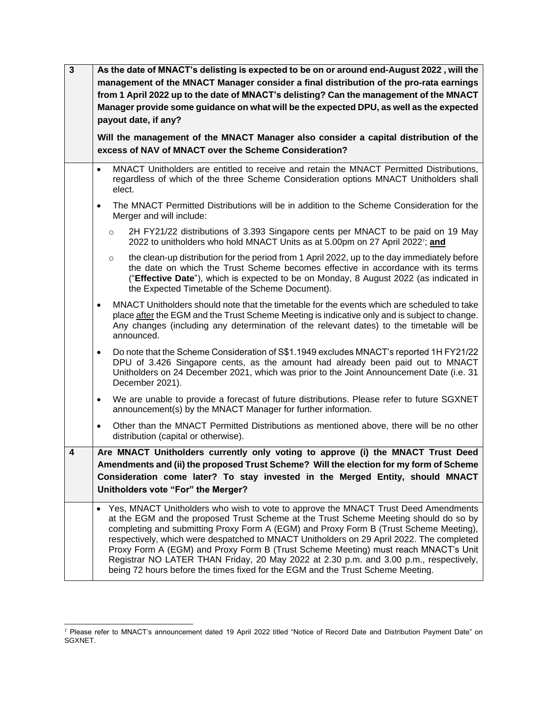| $\overline{3}$ | As the date of MNACT's delisting is expected to be on or around end-August 2022, will the                                                                                                                                                                                                                                                                                                                                                                                                                                                                                                                                         |
|----------------|-----------------------------------------------------------------------------------------------------------------------------------------------------------------------------------------------------------------------------------------------------------------------------------------------------------------------------------------------------------------------------------------------------------------------------------------------------------------------------------------------------------------------------------------------------------------------------------------------------------------------------------|
|                | management of the MNACT Manager consider a final distribution of the pro-rata earnings                                                                                                                                                                                                                                                                                                                                                                                                                                                                                                                                            |
|                | from 1 April 2022 up to the date of MNACT's delisting? Can the management of the MNACT                                                                                                                                                                                                                                                                                                                                                                                                                                                                                                                                            |
|                | Manager provide some guidance on what will be the expected DPU, as well as the expected                                                                                                                                                                                                                                                                                                                                                                                                                                                                                                                                           |
|                | payout date, if any?                                                                                                                                                                                                                                                                                                                                                                                                                                                                                                                                                                                                              |
|                | Will the management of the MNACT Manager also consider a capital distribution of the                                                                                                                                                                                                                                                                                                                                                                                                                                                                                                                                              |
|                | excess of NAV of MNACT over the Scheme Consideration?                                                                                                                                                                                                                                                                                                                                                                                                                                                                                                                                                                             |
|                | MNACT Unitholders are entitled to receive and retain the MNACT Permitted Distributions,<br>$\bullet$<br>regardless of which of the three Scheme Consideration options MNACT Unitholders shall<br>elect.                                                                                                                                                                                                                                                                                                                                                                                                                           |
|                | The MNACT Permitted Distributions will be in addition to the Scheme Consideration for the<br>$\bullet$<br>Merger and will include:                                                                                                                                                                                                                                                                                                                                                                                                                                                                                                |
|                | 2H FY21/22 distributions of 3.393 Singapore cents per MNACT to be paid on 19 May<br>$\circ$<br>2022 to unitholders who hold MNACT Units as at 5.00pm on 27 April 2022 <sup>7</sup> ; and                                                                                                                                                                                                                                                                                                                                                                                                                                          |
|                | the clean-up distribution for the period from 1 April 2022, up to the day immediately before<br>$\circ$<br>the date on which the Trust Scheme becomes effective in accordance with its terms<br>("Effective Date"), which is expected to be on Monday, 8 August 2022 (as indicated in<br>the Expected Timetable of the Scheme Document).                                                                                                                                                                                                                                                                                          |
|                | MNACT Unitholders should note that the timetable for the events which are scheduled to take<br>$\bullet$<br>place after the EGM and the Trust Scheme Meeting is indicative only and is subject to change.<br>Any changes (including any determination of the relevant dates) to the timetable will be<br>announced.                                                                                                                                                                                                                                                                                                               |
|                | Do note that the Scheme Consideration of S\$1.1949 excludes MNACT's reported 1H FY21/22<br>$\bullet$<br>DPU of 3.426 Singapore cents, as the amount had already been paid out to MNACT<br>Unitholders on 24 December 2021, which was prior to the Joint Announcement Date (i.e. 31<br>December 2021).                                                                                                                                                                                                                                                                                                                             |
|                | We are unable to provide a forecast of future distributions. Please refer to future SGXNET<br>$\bullet$<br>announcement(s) by the MNACT Manager for further information.                                                                                                                                                                                                                                                                                                                                                                                                                                                          |
|                | Other than the MNACT Permitted Distributions as mentioned above, there will be no other<br>$\bullet$<br>distribution (capital or otherwise).                                                                                                                                                                                                                                                                                                                                                                                                                                                                                      |
| 4              | Are MNACT Unitholders currently only voting to approve (i) the MNACT Trust Deed                                                                                                                                                                                                                                                                                                                                                                                                                                                                                                                                                   |
|                | Amendments and (ii) the proposed Trust Scheme? Will the election for my form of Scheme                                                                                                                                                                                                                                                                                                                                                                                                                                                                                                                                            |
|                | Consideration come later? To stay invested in the Merged Entity, should MNACT                                                                                                                                                                                                                                                                                                                                                                                                                                                                                                                                                     |
|                | Unitholders vote "For" the Merger?                                                                                                                                                                                                                                                                                                                                                                                                                                                                                                                                                                                                |
|                | Yes, MNACT Unitholders who wish to vote to approve the MNACT Trust Deed Amendments<br>at the EGM and the proposed Trust Scheme at the Trust Scheme Meeting should do so by<br>completing and submitting Proxy Form A (EGM) and Proxy Form B (Trust Scheme Meeting),<br>respectively, which were despatched to MNACT Unitholders on 29 April 2022. The completed<br>Proxy Form A (EGM) and Proxy Form B (Trust Scheme Meeting) must reach MNACT's Unit<br>Registrar NO LATER THAN Friday, 20 May 2022 at 2.30 p.m. and 3.00 p.m., respectively,<br>being 72 hours before the times fixed for the EGM and the Trust Scheme Meeting. |

l <sup>7</sup> Please refer to MNACT's announcement dated 19 April 2022 titled "Notice of Record Date and Distribution Payment Date" on SGXNET.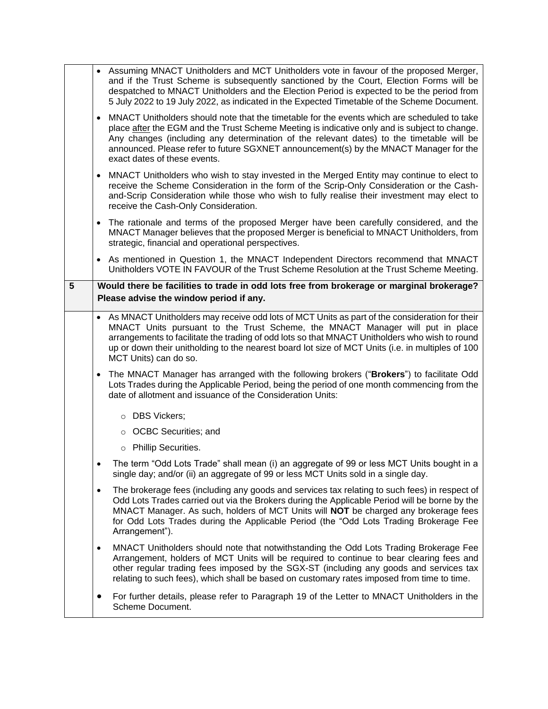|   | • Assuming MNACT Unitholders and MCT Unitholders vote in favour of the proposed Merger,<br>and if the Trust Scheme is subsequently sanctioned by the Court, Election Forms will be<br>despatched to MNACT Unitholders and the Election Period is expected to be the period from<br>5 July 2022 to 19 July 2022, as indicated in the Expected Timetable of the Scheme Document.                                         |
|---|------------------------------------------------------------------------------------------------------------------------------------------------------------------------------------------------------------------------------------------------------------------------------------------------------------------------------------------------------------------------------------------------------------------------|
|   | MNACT Unitholders should note that the timetable for the events which are scheduled to take<br>٠<br>place after the EGM and the Trust Scheme Meeting is indicative only and is subject to change.<br>Any changes (including any determination of the relevant dates) to the timetable will be<br>announced. Please refer to future SGXNET announcement(s) by the MNACT Manager for the<br>exact dates of these events. |
|   | MNACT Unitholders who wish to stay invested in the Merged Entity may continue to elect to<br>receive the Scheme Consideration in the form of the Scrip-Only Consideration or the Cash-<br>and-Scrip Consideration while those who wish to fully realise their investment may elect to<br>receive the Cash-Only Consideration.                                                                                          |
|   | The rationale and terms of the proposed Merger have been carefully considered, and the<br>٠<br>MNACT Manager believes that the proposed Merger is beneficial to MNACT Unitholders, from<br>strategic, financial and operational perspectives.                                                                                                                                                                          |
|   | • As mentioned in Question 1, the MNACT Independent Directors recommend that MNACT<br>Unitholders VOTE IN FAVOUR of the Trust Scheme Resolution at the Trust Scheme Meeting.                                                                                                                                                                                                                                           |
| 5 | Would there be facilities to trade in odd lots free from brokerage or marginal brokerage?<br>Please advise the window period if any.                                                                                                                                                                                                                                                                                   |
|   | As MNACT Unitholders may receive odd lots of MCT Units as part of the consideration for their<br>MNACT Units pursuant to the Trust Scheme, the MNACT Manager will put in place<br>arrangements to facilitate the trading of odd lots so that MNACT Unitholders who wish to round<br>up or down their unitholding to the nearest board lot size of MCT Units (i.e. in multiples of 100<br>MCT Units) can do so.         |
|   | The MNACT Manager has arranged with the following brokers ("Brokers") to facilitate Odd<br>٠<br>Lots Trades during the Applicable Period, being the period of one month commencing from the<br>date of allotment and issuance of the Consideration Units:                                                                                                                                                              |
|   | o DBS Vickers;                                                                                                                                                                                                                                                                                                                                                                                                         |
|   | ○ OCBC Securities; and                                                                                                                                                                                                                                                                                                                                                                                                 |
|   | o Phillip Securities.                                                                                                                                                                                                                                                                                                                                                                                                  |
|   | The term "Odd Lots Trade" shall mean (i) an aggregate of 99 or less MCT Units bought in a<br>single day; and/or (ii) an aggregate of 99 or less MCT Units sold in a single day.                                                                                                                                                                                                                                        |
|   | The brokerage fees (including any goods and services tax relating to such fees) in respect of<br>$\bullet$<br>Odd Lots Trades carried out via the Brokers during the Applicable Period will be borne by the<br>MNACT Manager. As such, holders of MCT Units will NOT be charged any brokerage fees<br>for Odd Lots Trades during the Applicable Period (the "Odd Lots Trading Brokerage Fee<br>Arrangement").          |
|   | MNACT Unitholders should note that notwithstanding the Odd Lots Trading Brokerage Fee<br>$\bullet$<br>Arrangement, holders of MCT Units will be required to continue to bear clearing fees and<br>other regular trading fees imposed by the SGX-ST (including any goods and services tax<br>relating to such fees), which shall be based on customary rates imposed from time to time.                                 |
|   | For further details, please refer to Paragraph 19 of the Letter to MNACT Unitholders in the<br>Scheme Document.                                                                                                                                                                                                                                                                                                        |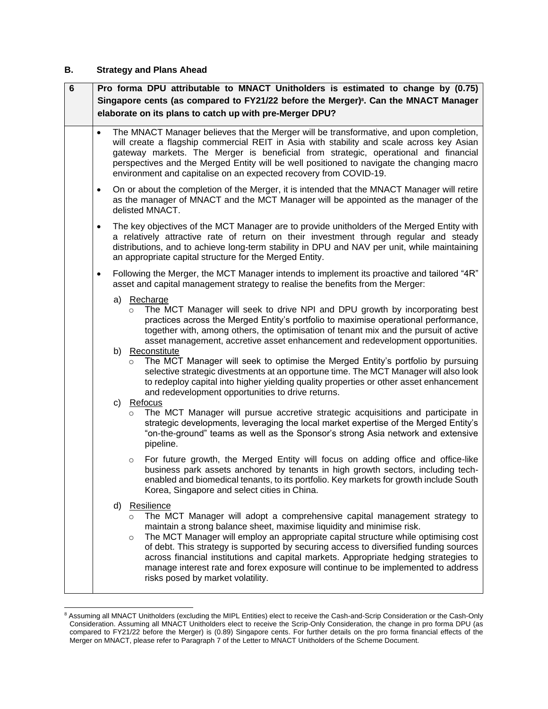### **B. Strategy and Plans Ahead**

l

| $\bf 6$ |           |    | Pro forma DPU attributable to MNACT Unitholders is estimated to change by (0.75)                                                                                                                                                                                                                                                                                                                                                                                                                                                                                                          |
|---------|-----------|----|-------------------------------------------------------------------------------------------------------------------------------------------------------------------------------------------------------------------------------------------------------------------------------------------------------------------------------------------------------------------------------------------------------------------------------------------------------------------------------------------------------------------------------------------------------------------------------------------|
|         |           |    | Singapore cents (as compared to FY21/22 before the Merger) <sup>8</sup> . Can the MNACT Manager                                                                                                                                                                                                                                                                                                                                                                                                                                                                                           |
|         |           |    | elaborate on its plans to catch up with pre-Merger DPU?                                                                                                                                                                                                                                                                                                                                                                                                                                                                                                                                   |
|         | $\bullet$ |    | The MNACT Manager believes that the Merger will be transformative, and upon completion,<br>will create a flagship commercial REIT in Asia with stability and scale across key Asian<br>gateway markets. The Merger is beneficial from strategic, operational and financial<br>perspectives and the Merged Entity will be well positioned to navigate the changing macro<br>environment and capitalise on an expected recovery from COVID-19.                                                                                                                                              |
|         | $\bullet$ |    | On or about the completion of the Merger, it is intended that the MNACT Manager will retire<br>as the manager of MNACT and the MCT Manager will be appointed as the manager of the<br>delisted MNACT.                                                                                                                                                                                                                                                                                                                                                                                     |
|         | $\bullet$ |    | The key objectives of the MCT Manager are to provide unitholders of the Merged Entity with<br>a relatively attractive rate of return on their investment through regular and steady<br>distributions, and to achieve long-term stability in DPU and NAV per unit, while maintaining<br>an appropriate capital structure for the Merged Entity.                                                                                                                                                                                                                                            |
|         | ٠         |    | Following the Merger, the MCT Manager intends to implement its proactive and tailored "4R"<br>asset and capital management strategy to realise the benefits from the Merger:                                                                                                                                                                                                                                                                                                                                                                                                              |
|         |           |    | a) Recharge<br>The MCT Manager will seek to drive NPI and DPU growth by incorporating best<br>practices across the Merged Entity's portfolio to maximise operational performance,<br>together with, among others, the optimisation of tenant mix and the pursuit of active<br>asset management, accretive asset enhancement and redevelopment opportunities.                                                                                                                                                                                                                              |
|         |           |    | b) Reconstitute<br>The MCT Manager will seek to optimise the Merged Entity's portfolio by pursuing<br>$\circ$<br>selective strategic divestments at an opportune time. The MCT Manager will also look<br>to redeploy capital into higher yielding quality properties or other asset enhancement<br>and redevelopment opportunities to drive returns.                                                                                                                                                                                                                                      |
|         |           |    | c) Refocus<br>The MCT Manager will pursue accretive strategic acquisitions and participate in<br>$\circ$<br>strategic developments, leveraging the local market expertise of the Merged Entity's<br>"on-the-ground" teams as well as the Sponsor's strong Asia network and extensive<br>pipeline.                                                                                                                                                                                                                                                                                         |
|         |           |    | For future growth, the Merged Entity will focus on adding office and office-like<br>$\circ$<br>business park assets anchored by tenants in high growth sectors, including tech-<br>enabled and biomedical tenants, to its portfolio. Key markets for growth include South<br>Korea, Singapore and select cities in China.                                                                                                                                                                                                                                                                 |
|         |           | d) | Resilience<br>The MCT Manager will adopt a comprehensive capital management strategy to<br>$\circ$<br>maintain a strong balance sheet, maximise liquidity and minimise risk.<br>The MCT Manager will employ an appropriate capital structure while optimising cost<br>$\circ$<br>of debt. This strategy is supported by securing access to diversified funding sources<br>across financial institutions and capital markets. Appropriate hedging strategies to<br>manage interest rate and forex exposure will continue to be implemented to address<br>risks posed by market volatility. |

<sup>&</sup>lt;sup>8</sup> Assuming all MNACT Unitholders (excluding the MIPL Entities) elect to receive the Cash-and-Scrip Consideration or the Cash-Only Consideration. Assuming all MNACT Unitholders elect to receive the Scrip-Only Consideration, the change in pro forma DPU (as compared to FY21/22 before the Merger) is (0.89) Singapore cents. For further details on the pro forma financial effects of the Merger on MNACT, please refer to Paragraph 7 of the Letter to MNACT Unitholders of the Scheme Document.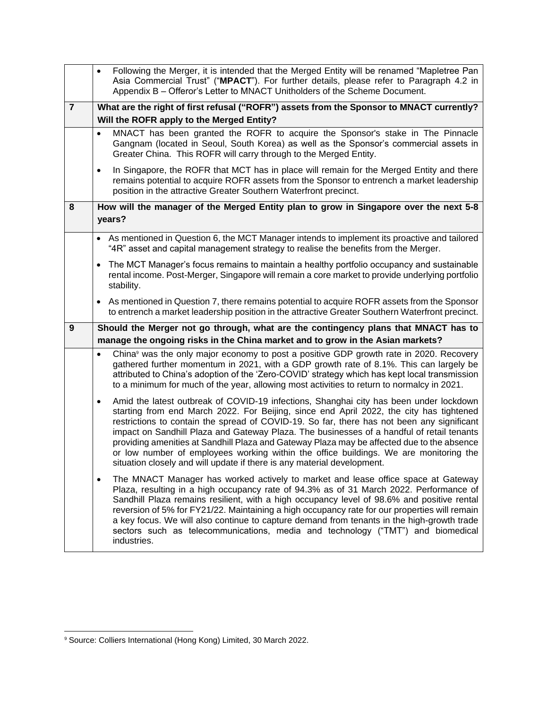|                | Following the Merger, it is intended that the Merged Entity will be renamed "Mapletree Pan<br>$\bullet$<br>Asia Commercial Trust" ("MPACT"). For further details, please refer to Paragraph 4.2 in<br>Appendix B - Offeror's Letter to MNACT Unitholders of the Scheme Document.                                                                                                                                                                                                                                                                                                                                                                    |
|----------------|-----------------------------------------------------------------------------------------------------------------------------------------------------------------------------------------------------------------------------------------------------------------------------------------------------------------------------------------------------------------------------------------------------------------------------------------------------------------------------------------------------------------------------------------------------------------------------------------------------------------------------------------------------|
| $\overline{7}$ | What are the right of first refusal ("ROFR") assets from the Sponsor to MNACT currently?<br>Will the ROFR apply to the Merged Entity?                                                                                                                                                                                                                                                                                                                                                                                                                                                                                                               |
|                | MNACT has been granted the ROFR to acquire the Sponsor's stake in The Pinnacle<br>Gangnam (located in Seoul, South Korea) as well as the Sponsor's commercial assets in<br>Greater China. This ROFR will carry through to the Merged Entity.                                                                                                                                                                                                                                                                                                                                                                                                        |
|                | In Singapore, the ROFR that MCT has in place will remain for the Merged Entity and there<br>remains potential to acquire ROFR assets from the Sponsor to entrench a market leadership<br>position in the attractive Greater Southern Waterfront precinct.                                                                                                                                                                                                                                                                                                                                                                                           |
| 8              | How will the manager of the Merged Entity plan to grow in Singapore over the next 5-8<br>years?                                                                                                                                                                                                                                                                                                                                                                                                                                                                                                                                                     |
|                | • As mentioned in Question 6, the MCT Manager intends to implement its proactive and tailored<br>"4R" asset and capital management strategy to realise the benefits from the Merger.                                                                                                                                                                                                                                                                                                                                                                                                                                                                |
|                | The MCT Manager's focus remains to maintain a healthy portfolio occupancy and sustainable<br>rental income. Post-Merger, Singapore will remain a core market to provide underlying portfolio<br>stability.                                                                                                                                                                                                                                                                                                                                                                                                                                          |
|                | • As mentioned in Question 7, there remains potential to acquire ROFR assets from the Sponsor<br>to entrench a market leadership position in the attractive Greater Southern Waterfront precinct.                                                                                                                                                                                                                                                                                                                                                                                                                                                   |
| 9              | Should the Merger not go through, what are the contingency plans that MNACT has to<br>manage the ongoing risks in the China market and to grow in the Asian markets?                                                                                                                                                                                                                                                                                                                                                                                                                                                                                |
|                | China <sup>®</sup> was the only major economy to post a positive GDP growth rate in 2020. Recovery<br>$\bullet$<br>gathered further momentum in 2021, with a GDP growth rate of 8.1%. This can largely be<br>attributed to China's adoption of the 'Zero-COVID' strategy which has kept local transmission<br>to a minimum for much of the year, allowing most activities to return to normalcy in 2021.                                                                                                                                                                                                                                            |
|                | Amid the latest outbreak of COVID-19 infections, Shanghai city has been under lockdown<br>٠<br>starting from end March 2022. For Beijing, since end April 2022, the city has tightened<br>restrictions to contain the spread of COVID-19. So far, there has not been any significant<br>impact on Sandhill Plaza and Gateway Plaza. The businesses of a handful of retail tenants<br>providing amenities at Sandhill Plaza and Gateway Plaza may be affected due to the absence<br>or low number of employees working within the office buildings. We are monitoring the<br>situation closely and will update if there is any material development. |
|                | The MNACT Manager has worked actively to market and lease office space at Gateway<br>Plaza, resulting in a high occupancy rate of 94.3% as of 31 March 2022. Performance of<br>Sandhill Plaza remains resilient, with a high occupancy level of 98.6% and positive rental<br>reversion of 5% for FY21/22. Maintaining a high occupancy rate for our properties will remain<br>a key focus. We will also continue to capture demand from tenants in the high-growth trade<br>sectors such as telecommunications, media and technology ("TMT") and biomedical<br>industries.                                                                          |

l <sup>9</sup> Source: Colliers International (Hong Kong) Limited, 30 March 2022.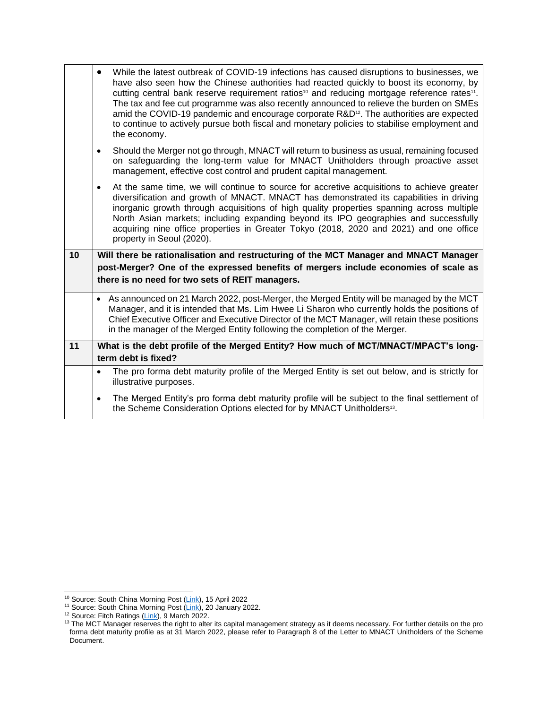|    | While the latest outbreak of COVID-19 infections has caused disruptions to businesses, we<br>have also seen how the Chinese authorities had reacted quickly to boost its economy, by<br>cutting central bank reserve requirement ratios <sup>10</sup> and reducing mortgage reference rates <sup>11</sup> .<br>The tax and fee cut programme was also recently announced to relieve the burden on SMEs<br>amid the COVID-19 pandemic and encourage corporate R&D <sup>12</sup> . The authorities are expected<br>to continue to actively pursue both fiscal and monetary policies to stabilise employment and<br>the economy. |
|----|-------------------------------------------------------------------------------------------------------------------------------------------------------------------------------------------------------------------------------------------------------------------------------------------------------------------------------------------------------------------------------------------------------------------------------------------------------------------------------------------------------------------------------------------------------------------------------------------------------------------------------|
|    | Should the Merger not go through, MNACT will return to business as usual, remaining focused<br>$\bullet$<br>on safeguarding the long-term value for MNACT Unitholders through proactive asset<br>management, effective cost control and prudent capital management.                                                                                                                                                                                                                                                                                                                                                           |
|    | At the same time, we will continue to source for accretive acquisitions to achieve greater<br>$\bullet$<br>diversification and growth of MNACT. MNACT has demonstrated its capabilities in driving<br>inorganic growth through acquisitions of high quality properties spanning across multiple<br>North Asian markets; including expanding beyond its IPO geographies and successfully<br>acquiring nine office properties in Greater Tokyo (2018, 2020 and 2021) and one office<br>property in Seoul (2020).                                                                                                                |
|    |                                                                                                                                                                                                                                                                                                                                                                                                                                                                                                                                                                                                                               |
| 10 | Will there be rationalisation and restructuring of the MCT Manager and MNACT Manager                                                                                                                                                                                                                                                                                                                                                                                                                                                                                                                                          |
|    | post-Merger? One of the expressed benefits of mergers include economies of scale as                                                                                                                                                                                                                                                                                                                                                                                                                                                                                                                                           |
|    | there is no need for two sets of REIT managers.                                                                                                                                                                                                                                                                                                                                                                                                                                                                                                                                                                               |
|    | • As announced on 21 March 2022, post-Merger, the Merged Entity will be managed by the MCT<br>Manager, and it is intended that Ms. Lim Hwee Li Sharon who currently holds the positions of<br>Chief Executive Officer and Executive Director of the MCT Manager, will retain these positions<br>in the manager of the Merged Entity following the completion of the Merger.                                                                                                                                                                                                                                                   |
| 11 | What is the debt profile of the Merged Entity? How much of MCT/MNACT/MPACT's long-                                                                                                                                                                                                                                                                                                                                                                                                                                                                                                                                            |
|    | term debt is fixed?                                                                                                                                                                                                                                                                                                                                                                                                                                                                                                                                                                                                           |
|    | The pro forma debt maturity profile of the Merged Entity is set out below, and is strictly for<br>$\bullet$<br>illustrative purposes.                                                                                                                                                                                                                                                                                                                                                                                                                                                                                         |

l <sup>10</sup> Source: South China Morning Post [\(Link\)](https://www.scmp.com/economy/economic-indicators/article/3174432/china-cut-reserve-requirement-ratio-boost-economy), 15 April 2022

<sup>&</sup>lt;sup>11</sup> Source: South China Morning Post [\(Link\)](https://www.scmp.com/economy/economic-indicators/article/3164020/china-cuts-benchmark-loan-rate-second-consecutive-month), 20 January 2022.

<sup>&</sup>lt;sup>12</sup> Source: Fitch Ratings [\(Link\)](https://www.fitchratings.com/research/corporate-finance/chinas-fee-tax-cuts-to-support-smes-r-d-may-weaken-government-resources-09-03-2022#:~:text=Fitch%20Ratings%2DShanghai%2D09%20March,fiscal%20resources%20of%20local%20governments), 9 March 2022.

<sup>&</sup>lt;sup>13</sup> The MCT Manager reserves the right to alter its capital management strategy as it deems necessary. For further details on the pro forma debt maturity profile as at 31 March 2022, please refer to Paragraph 8 of the Letter to MNACT Unitholders of the Scheme Document.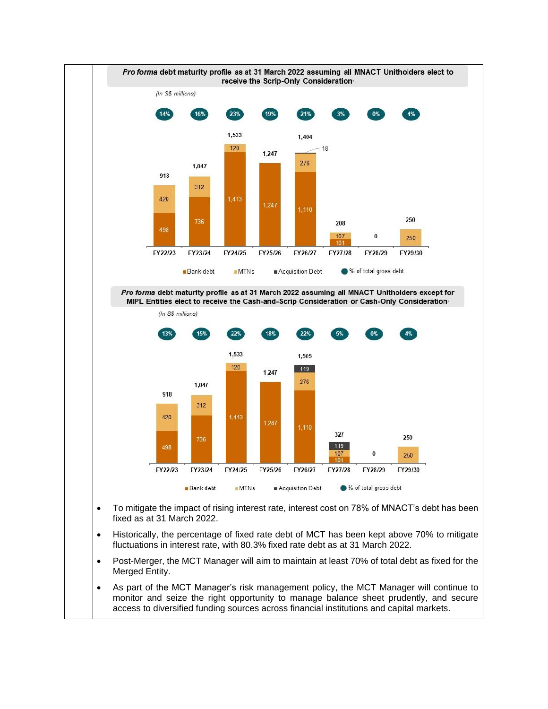

monitor and seize the right opportunity to manage balance sheet prudently, and secure access to diversified funding sources across financial institutions and capital markets.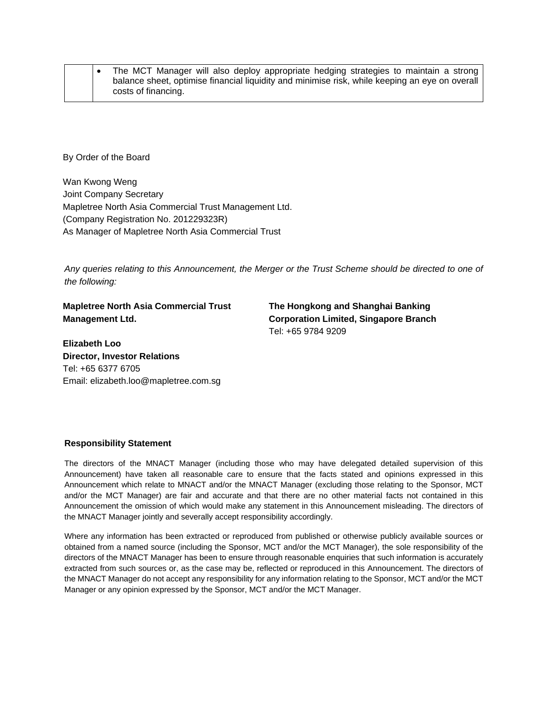|  | The MCT Manager will also deploy appropriate hedging strategies to maintain a strong           |
|--|------------------------------------------------------------------------------------------------|
|  | balance sheet, optimise financial liquidity and minimise risk, while keeping an eye on overall |
|  | costs of financing.                                                                            |

By Order of the Board

Wan Kwong Weng Joint Company Secretary Mapletree North Asia Commercial Trust Management Ltd. (Company Registration No. 201229323R) As Manager of Mapletree North Asia Commercial Trust

*Any queries relating to this Announcement, the Merger or the Trust Scheme should be directed to one of the following:*

**Mapletree North Asia Commercial Trust Management Ltd.**

**The Hongkong and Shanghai Banking Corporation Limited, Singapore Branch** Tel: +65 9784 9209

**Elizabeth Loo Director, Investor Relations**  Tel: +65 6377 6705 Email: elizabeth.loo@mapletree.com.sg

#### **Responsibility Statement**

The directors of the MNACT Manager (including those who may have delegated detailed supervision of this Announcement) have taken all reasonable care to ensure that the facts stated and opinions expressed in this Announcement which relate to MNACT and/or the MNACT Manager (excluding those relating to the Sponsor, MCT and/or the MCT Manager) are fair and accurate and that there are no other material facts not contained in this Announcement the omission of which would make any statement in this Announcement misleading. The directors of the MNACT Manager jointly and severally accept responsibility accordingly.

Where any information has been extracted or reproduced from published or otherwise publicly available sources or obtained from a named source (including the Sponsor, MCT and/or the MCT Manager), the sole responsibility of the directors of the MNACT Manager has been to ensure through reasonable enquiries that such information is accurately extracted from such sources or, as the case may be, reflected or reproduced in this Announcement. The directors of the MNACT Manager do not accept any responsibility for any information relating to the Sponsor, MCT and/or the MCT Manager or any opinion expressed by the Sponsor, MCT and/or the MCT Manager.